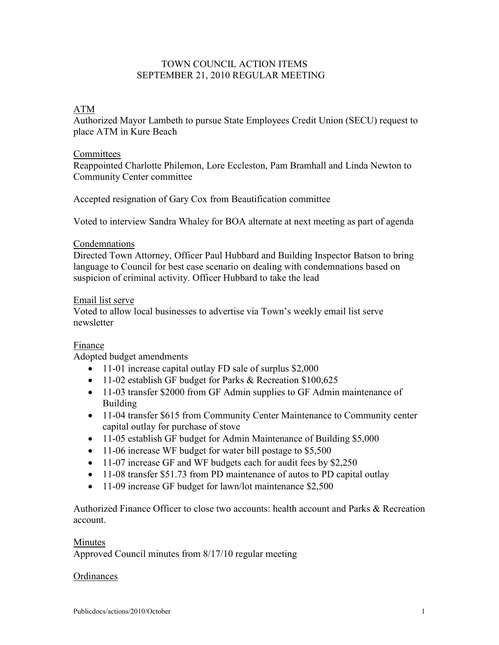# TOWN COUNCIL ACTION ITEMS SEPTEMBER 21, 2010 REGULAR MEETING

# ATM

Authorized Mayor Lambeth to pursue State Employees Credit Union (SECU) request to place ATM in Kure Beach

#### Committees

Reappointed Charlotte Philemon, Lore Eccleston, Pam Bramhall and Linda Newton to Community Center committee

Accepted resignation of Gary Cox from Beautification committee

Voted to interview Sandra Whaley for BOA alternate at next meeting as part of agenda

### Condemnations

Directed Town Attorney, Officer Paul Hubbard and Building Inspector Batson to bring language to Council for best case scenario on dealing with condemnations based on suspicion of criminal activity. Officer Hubbard to take the lead

#### Email list serve

Voted to allow local businesses to advertise via Town's weekly email list serve newsletter

### Finance

Adopted budget amendments

- 11-01 increase capital outlay FD sale of surplus \$2,000
- 11-02 establish GF budget for Parks & Recreation \$100,625
- 11-03 transfer \$2000 from GF Admin supplies to GF Admin maintenance of Building
- 11-04 transfer \$615 from Community Center Maintenance to Community center capital outlay for purchase of stove
- 11-05 establish GF budget for Admin Maintenance of Building \$5,000
- 11-06 increase WF budget for water bill postage to \$5,500
- 11-07 increase GF and WF budgets each for audit fees by \$2,250
- 11-08 transfer \$51.73 from PD maintenance of autos to PD capital outlay
- 11-09 increase GF budget for lawn/lot maintenance \$2,500

Authorized Finance Officer to close two accounts: health account and Parks & Recreation account.

#### **Minutes**

Approved Council minutes from 8/17/10 regular meeting

#### **Ordinances**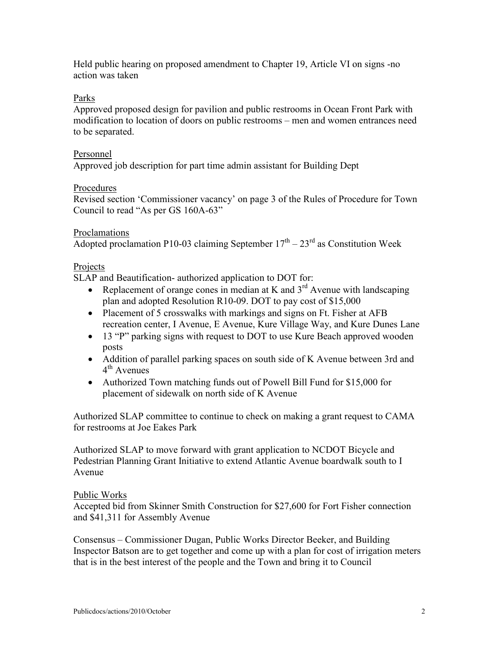Held public hearing on proposed amendment to Chapter 19, Article VI on signs -no action was taken

## Parks

Approved proposed design for pavilion and public restrooms in Ocean Front Park with modification to location of doors on public restrooms – men and women entrances need to be separated.

### Personnel

Approved job description for part time admin assistant for Building Dept

## Procedures

Revised section 'Commissioner vacancy' on page 3 of the Rules of Procedure for Town Council to read "As per GS 160A-63"

### Proclamations

Adopted proclamation P10-03 claiming September  $17<sup>th</sup> - 23<sup>rd</sup>$  as Constitution Week

## Projects

SLAP and Beautification- authorized application to DOT for:

- Replacement of orange cones in median at K and  $3<sup>rd</sup>$  Avenue with landscaping plan and adopted Resolution R10-09. DOT to pay cost of \$15,000
- Placement of 5 crosswalks with markings and signs on Ft. Fisher at AFB recreation center, I Avenue, E Avenue, Kure Village Way, and Kure Dunes Lane
- 13 "P" parking signs with request to DOT to use Kure Beach approved wooden posts
- Addition of parallel parking spaces on south side of K Avenue between 3rd and 4<sup>th</sup> Avenues
- Authorized Town matching funds out of Powell Bill Fund for \$15,000 for placement of sidewalk on north side of K Avenue

Authorized SLAP committee to continue to check on making a grant request to CAMA for restrooms at Joe Eakes Park

Authorized SLAP to move forward with grant application to NCDOT Bicycle and Pedestrian Planning Grant Initiative to extend Atlantic Avenue boardwalk south to I Avenue

### Public Works

Accepted bid from Skinner Smith Construction for \$27,600 for Fort Fisher connection and \$41,311 for Assembly Avenue

Consensus – Commissioner Dugan, Public Works Director Beeker, and Building Inspector Batson are to get together and come up with a plan for cost of irrigation meters that is in the best interest of the people and the Town and bring it to Council